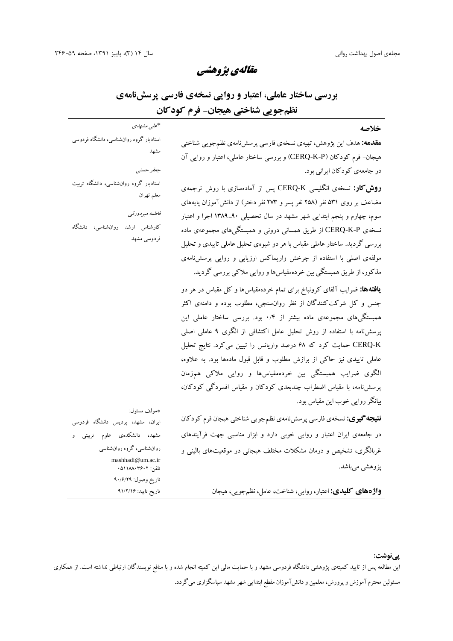استادیار گروه روانشناسی، دانشگاه فردوسی

استادیار گروه روانشناسی، دانشگاه تربیت

کارشناس ارشد روانشناسی، دانشگاه

مشهد

*جعفر حسنی*

معلم تهران

*فاطمه میردورقی*

فردوسی مشهد

*مقالهي پژوهشی*

**بررسی ساختار عاملی، اعتبار و روایی نسخهي فارسی پرسشنامهي نظمجویی شناختی هیجان- فرم کودکان**

| "علی مشهاری |  |
|-------------|--|
|             |  |

**مقدمه:** هدف این پژوهش، تهیهي نسخهي فارسی پرسشنامهي نظمجویی شناختی هیجان- فرم کودکان (P-K-CERQ (و بررسی ساختار عاملی، اعتبار و روایی آن در جامعهي کودکان ایرانی بود.

**روشکار:** نسخهي انگلیسی K-CERQ پس از آمادهسازي با روش ترجمهي مضاعف بر روي 531 نفر (258 نفر پسر و 273 نفر دختر) از دانشآموزان پایههاي سوم، چهارم و پنجم ابتدایی شهر مشهد در سال تحصیلی 1389-90 اجرا و اعتبار نسخهي P-K-CERQ از طریق همسانی درونی و همبستگیهاي مجموعهي ماده بررسی گردید. ساختار عاملی مقیاس با هر دو شیوهي تحلیل عاملی تاییدي و تحلیل مولفهي اصلی با استفاده از چرخش واریماکس ارزیابی و روایی پرسشنامهي مذکور، از طریق همبستگی بین خردهمقیاسها و روایی ملاکی بررسی گردید.

**یافتهها:** ضرایب آلفاي کرونباخ براي تمام خردهمقیاسها و کل مقیاس در هر دو جنس و کل شرکتکنندگان از نظر روانسنجی، مطلوب بوده و دامنهي اکثر همبستگیهاي مجموعهي ماده بیشتر از 0/4 بود. بررسی ساختار عاملی این پرسشنامه با استفاده از روش تحلیل عامل اکتشافی از الگوي 9 عاملی اصلی K-CERQ حمایت کرد که 68 درصد واریانس را تبیین میکرد. نتایج تحلیل عاملی تاییدي نیز حاکی از برازش مطلوب و قابل قبول مادهها بود. به علاوه، الگوي ضرایب همبستگی بین خردهمقیاسها و روایی ملاکی همزمان پرسشنامه، با مقیاس اضطراب چندبعدي کودکان و مقیاس افسردگی کودکان، بیانگر روایی خوب این مقیاس بود.

**نتیجهگیري:** نسخهي فارسی پرسشنامهي نظمجویی شناختی هیجان فرم کودکان در جامعهي ایران اعتبار و روایی خوبی دارد و ابزار مناسبی جهت فرآیندهاي غربالگري، تشخیص و درمان مشکلات مختلف هیجانی در موقعیتهاي بالینی و پژوهشی میباشد.

\*مولف مسئول: ایران، مشهد، پردیس دانشگاه فردوسی مشهد، دانشکدهي علوم تربیتی و روانشناسی، گروه روانشناسی mashhadi@um.ac.ir 05118803602 :تلفن تاریخ وصول: 90/6/29 تاریخ تایید: 91/2/16

**واژههاي کلیدي:** اعتبار، روایی، شناخت، عامل، نظمجویی، هیجان

**پینوشت:**

این مطالعه پس از تایید کمیتهي پژوهشی دانشگاه فردوسی مشهد و با حمایت مالی این کمیته انجام شده و با منافع نویسندگان ارتباطی نداشته است. از همکاري مسئولین محترم آموزش و پرورش، معلمین و دانشآموزان مقطع ابتدایی شهر مشهد سپاسگزاري میگردد.

### **خلاصه**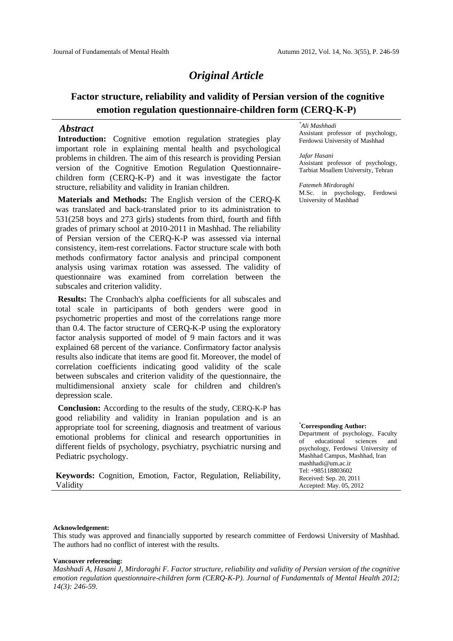# *Original Article*

# **Factor structure, reliability and validity of Persian version of the cognitive emotion regulation questionnaire-children form (CERQ-K-P)**

## *Abstract*

**Introduction:** Cognitive emotion regulation strategies play important role in explaining mental health and psychological problems in children. The aim of this research is providing Persian version of the Cognitive Emotion Regulation Questionnaire children form (CERQ-K-P) and it was investigate the factor structure, reliability and validity in Iranian children.

**Materials and Methods:** The English version of the CERQ-K was translated and back-translated prior to its administration to 531(258 boys and 273 girls) students from third, fourth and fifth grades of primary school at 2010-2011 in Mashhad. The reliability of Persian version of the CERQ-K-P was assessed via internal consistency, item-rest correlations. Factor structure scale with both methods confirmatory factor analysis and principal component analysis using varimax rotation was assessed. The validity of questionnaire was examined from correlation between the subscales and criterion validity.

**Results:** The Cronbach's alpha coefficients for all subscales and total scale in participants of both genders were good in psychometric properties and most of the correlations range more than 0.4.The factor structure of CERQ-K-P using the exploratory factor analysis supported of model of 9 main factors and it was explained 68 percent of the variance. Confirmatory factor analysis results also indicate that items are good fit. Moreover, the model of correlation coefficients indicating good validity of the scale between subscales and criterion validity of the questionnaire, the multidimensional anxiety scale for children and children's depression scale.

**Conclusion:** According to the results of the study, CERQ-K-P has good reliability and validity in Iranian population and is an appropriate tool for screening, diagnosis and treatment of various emotional problems for clinical and research opportunities in  $\frac{D}{\alpha}$ different fields of psychology, psychiatry, psychiatric nursing and Pediatric psychology.

**Keywords:** Cognition, Emotion, Factor, Regulation, Reliability, Validity

### *\*Ali Mashhadi*

Assistant professor of psychology, Ferdowsi University of Mashhad

### *Jafar Hasani*

Assistant professor of psychology, Tarbiat Moallem University, Tehran

*Fatemeh Mirdoraghi* M.Sc. in psychology, Ferdowsi University of Mashhad

#### \***Corresponding Author:**

Department of psychology, Faculty educational sciences and psychology, Ferdowsi University of Mashhad Campus, Mashhad, Iran mashhadi@um.ac.ir Tel: +985118803602 Received: Sep. 20, 2011 Accepted: May. 05, 2012

### **Acknowledgement:**

This study was approved and financially supported by research committee of Ferdowsi University of Mashhad. The authors had no conflict of interest with the results.

#### **Vancouver referencing:**

*Mashhadi A, Hasani J, Mirdoraghi F. Factor structure, reliability and validity of Persian version of the cognitive emotion regulation questionnaire-children form (CERQ-K-P). Journal of Fundamentals of Mental Health 2012; 14(3): 246-59.*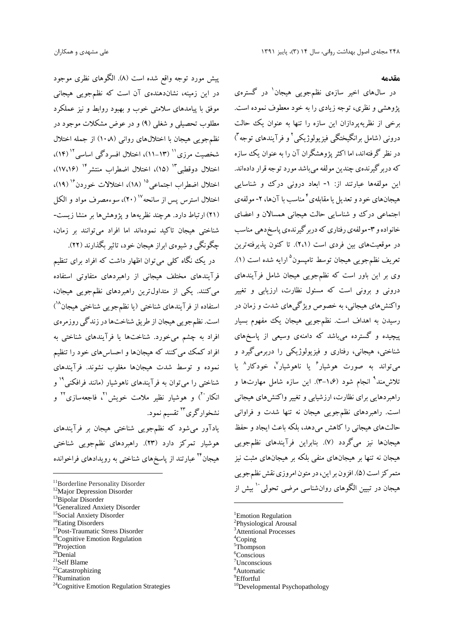**مقدمه**

در سالهاي اخیر سازهي نظمجویی هیجان 1 در گسترهي پژوهشی و نظري، توجه زیادي را به خود معطوف نموده است. برخی از نظریهپردازان این سازه را تنها به عنوان یک حالت درونی (شامل برانگیختگی فیزیولوژیکی<sup>٬</sup> و فرآیندهای توجه <sup>۳</sup>) در نظر گرفتهاند، اما اکثر پژوهشگران آن را به عنوان یک سازه کهدربرگیرندهي چندین مولفهمیباشد موردتوجهقراردادهاند. این مولفهها عبارتند از: -1 ابعاد درونی درك و شناسایی هیجانهای خود و تعدیل یا مقابلهی<sup>۶</sup> مناسب با آنها، ۲- مولفهی اجتماعی درك و شناسایی حالت هیجانی همسالان و اعضاي خانواده و ۳-مولفهي رفتاري که دربر گیرندهي پاسخدهي مناسب در موقعیتهاي بین فردي است (2،1). تا کنون پذیرفتهترین تعریف نظمجویی هیجان توسط تامپسون<sup>۵</sup> ارایه شده است (۱). وي بر این باور است که نظمجویی هیجان شامل فرآیندهاي درونی و برونی است که مسئول نظارت، ارزیابی و تغییر واکنشهاي هیجانی، به خصوص ویژگیهاي شدت و زمان در رسیدن به اهداف است. نظمجویی هیجان یک مفهوم بسیار پیچیده و گسترده میباشد که دامنهي وسیعی از پاسخهاي شناختی، هیجانی، رفتاري و فیزیولوژیکی را دربرمیگیرد و <sub>می</sub>تواند به صورت هوشیار<sup>۶</sup> یا ناهوشیار<sup>۷</sup>، خودکار<sup>۸</sup> یا تلاش۱ند<sup>۹</sup> انجام شود (۱،۶–۳). این سازه شامل مهارتها و راهبردهایی براي نظارت، ارزشیابی و تغییر واکنشهاي هیجانی است. راهبردهاي نظمجویی هیجان نه تنها شدت و فراوانی حالتهاي هیجانی را کاهش میدهد، بلکه باعث ایجاد و حفظ هیجانها نیز میگردد (7). بنابراین فرآیندهاي نظمجویی هیجان نه تنها بر هیجانهاي منفی بلکه بر هیجانهاي مثبت نیز متمر کز است (۵). افزون بر این، در متون امروزي نقش نظمجویی هیجان در تبیین الگوهای روانشناسی مرضی تحولی `` بیش از

<sup>1</sup>Emotion Regulation <sup>2</sup>Physiological Arousal <sup>3</sup>Attentional Processes <sup>4</sup>Coping <sup>5</sup>Thompson <sup>6</sup>Conscious  $7$ Unconscious <sup>8</sup>Automatic<br><sup>9</sup>Effortful  $10$ Developmental Psychopathology

پیش مورد توجه واقع شده است (8). الگوهاي نظري موجود در این زمینه، نشاندهندهي آن است که نظمجویی هیجانی موفق با پیامدهاي سلامتی خوب و بهبود روابط و نیز عملکرد مطلوب تحصیلی و شغلی (9) و در عوض مشکلات موجود در نظمجویی هیجان با اختلالهاي روانی (10،8) از جمله اختلال سازه نشخصیت مرزی'' (۱۳–۱۱)، اختلال افسردگی اساسی'' (۱۴)، اختلال دوقطبی"` (۱۵)، اختلال اضطراب منتشر<sup>۱۴</sup> (۱۷،۱۶)، اختلال اضطراب اجتماعی<sup>۱۵</sup> (۱۸)، اختلالات خوردن<sup>۱۶</sup> اختلال استرس پس از سانحه<sup>۱۷</sup> (۲۰)، سوءمصرف مواد و الکل<br>(۲۱) ارتباط دارد. هرچند نظر مهها و بژوهش ها بر منشا زیست-شناختی هیجان تاکید نمودهاند اما افراد میتوانند بر زمان، چگونگی و شیوهي ابراز هیجان خود، تاثیر بگذارند (22).

در یک نگاه کلی میتوان اظهار داشت که افراد برای تنظیم فرآیندهاي مختلف هیجانی از راهبردهاي متفاوتی استفاده میکنند. یکی از متداولترین راهبردهاي نظمجویی هیجان، استفاده از فرآیندهای شناختی (یا نظمجویی شناختی هیجان<sup>۱۸</sup>) است. نظمجویی هیجان از طریق شناختهادرزندگیروزمرهي افراد به چشم میخورد. شناختها یا فرآیندهاي شناختی به افراد کمک میکنند که هیجانها و احساسهاي خود را تنظیم نموده و توسط شدت هیجانها مغلوب نشوند. فرآیندهاي <sub>۱</sub>۹ و ۱۴ شناختی را میتوان به فرآیندهای ناهوشیار (مانند فرافکنی<sup>۱۹</sup> و انکار ``) و هوشیار نظیر ملامت خویش'`، فاجعهسازی``` و نشخوارگری<sup>۲۳</sup> تقسیم نمود.

یادآور میشود که نظمجویی شناختی هیجان بر فرآیندهاي هوشیار تمرکز دارد (23). راهبردهاي نظمجویی شناختی هیجان<sup>۲۴</sup> عبارتند از پاسخهای شناختی به رویدادهای فراخوانده

- 
- 
- 
- 
- 
- <sup>17</sup>Post-Traumatic Stress Disorder<br><sup>18</sup>Cognitive Emotion Regulation
- 
- $19P$ Projection<br> $20$ Denial
- 
- $21$ Self Blame
- <sup>22</sup>Catastrophizing
- <sup>23</sup>Rumination
- <sup>24</sup>Cognitive Emotion Regulation Strategies

<sup>&</sup>lt;sup>11</sup>Borderline Personality Disorder <sup>12</sup>Major Depression Disorder 14<br><sup>13</sup>Bipolar Disorder 14Generalized Anxiety Disorder 15Social Anxiety Disorder 16Eating Disorders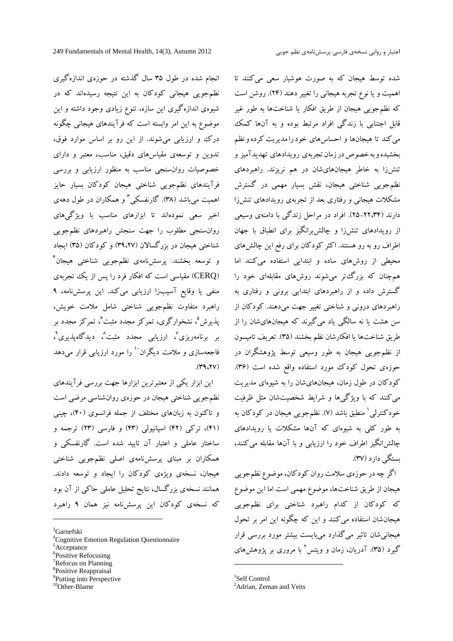انجام شده در طول 35 سال گذشته در حوزهي اندازهگیري نظمجویی هیجانی کودکان به این نتیجه رسیدهاند که در شیوهي اندازهگیري این سازه، تنوع زیادي وجود داشته و این موضوع به این امر وابسته است که فرآیندهاي هیجانی چگونه درك و ارزیابی میشوند. از این رو بر اساس موارد فوق، تدوین و توسعهي مقیاسهاي دقیق، مناسب، معتبر و داراي خصوصیات روانسنجی مناسب به منظور ارزیابی و بررسی فرآیندهاي نظمجویی شناختی هیجان کودکان بسیار حایز 3 اهمیت میباشد (38). گارنفسکی و همکاران در طول دههي اخیر سعی نمودهاند تا ابزارهاي مناسب با ویژگیهاي روانسنجی مطلوب را جهت سنجش راهبردهاي نظمجویی شناختی هیجان در بزرگسالان (39،27) و کودکان (35) ایجاد 4 و توسعه بخشند. پرسشنامهي نظمجویی شناختی هیجان (CERQ (مقیاسی است که افکار فرد را پس از یک تجربهي منفی یا وقایع آسیبزا ارزیابی میکند. این پرسشنامه، 9 راهبرد متفاوت نظمجویی شناختی شامل ملامت خویش، ےشان را از پذیرش<sup>°</sup>، نشخوارگری، تمرکز مجدد مثبت ً<sup>،</sup> تمرکز مجدد بر بر برنامهریزی<sup>۷</sup>، ارزیابی مجدد مثبت<sup>^</sup>، دیدگاهپذیری<sup>۹</sup> بر برنامهریزی'، ارزیابی مجدد مثبت`، دیدگاهپذیری`،<br>فاجعهسازی و ملامت دیگران`` را مورد ارزیابی قرار میدهد  $(11, 17)$ 

این ابزار یکی از معتبرترین ابزارها جهت بررسی فرآیندهاي نظمجویی شناختی هیجان در حوزهی روان شناسی مرضی است<br>و تاکنون به زبانهای مختلف از جمله فرانسوی (۴۰)، چینی (41)، ترکی (42) اسپانیولی (43) و فارسی (23) ترجمه و ساختار عاملی و اعتبار آن تایید شده است. گارنفسکی و همکاران بر مبناي پرسشنامهي اصلی نظمجویی شناختی هیجان، نسخهي ویژهي کودکان را ایجاد و توسعه دادند. همانند نسخهي بزرگسال، نتایج تحلیل عاملی حاکی از آن بود که نسخهي کودکان این پرسشنامه نیز همان 9 راهبرد

- <sup>3</sup>Garnefski<br><sup>4</sup>Cognitive Emotion Regulation Questionnaire
- <sup>5</sup>Acceptance
- <sup>6</sup>Positive Refocusing
- <sup>7</sup>Refocus on Planning<br><sup>8</sup>Positive Reappraisal
- 
- <sup>9</sup>Putting into Perspective

شده توسط هیجان که به صورت هوشیار سعی میکنند تا اهمیت و یا نوع تجربه هیجانی را تغییر دهند (24). روشن است که نظمجویی هیجان از طریق افکار یا شناختها به طور غیر قابل اجتنابی با زندگی افراد مرتبط بوده و به آنها کمک میکند تا هیجانها و احساسهاي خودرامدیریت کردهونظم بخشیده و به خصوص در زمان تجربهي رویدادهاي تهدیدآمیز و تنشزا به خاطر هیجانهايشان در هم نریزند. راهبردهاي نظمجویی شناختی هیجان، نقش بسیار مهمی در گسترش مشکلات هیجانی و رفتاري بعد از تجربهي رویدادهاي تنشزا دارند (25-22،34). افراد در مراحل زندگی با دامنهي وسیعی از رویدادهاي تنشزا و چالشبرانگیز براي انطباق با جهان اطراف رو به رو هستند. اکثر کودکان براي رفع این چالشهاي محیطی از روشهاي ساده و ابتدایی استفاده میکنند اما همچنان که بزرگتر میشوند روشهاي مقابلهاي خود را گسترش داده و از راهبردهاي ابتدایی برونی و رفتاري به راهبردهاي درونی و شناختی تغییر جهت میدهند. کودکان از سن هشت یا نه سالگی یاد میگیرند که هیجانهايشان را از طریق شناختها یا افکارشان نظم بخشند (35). تعریف تامپسون از نظمجویی هیجان به طور وسیعی توسط پژوهشگران در حوزهي تحول کودك مورد استفاده واقع شده است (36). کودکان در طول زمان، هیجانهايشان را به شیوهاي مدیریت میکنند که با ویژگیها و شرایط شخصیتشان مثل ظرفیت<br>خودکنترلی<sup>'</sup> منطبق باشد (۷). نظمجویی هیجان در کودکان به به طور کلی به شیوهاي که آنها مشکلات یا رویدادهاي چالشانگیز اطراف خود را ارزیابی و با آنها مقابله میکنند، بستگی دارد (37).

اگر چهدر حوزهي سلامت روان کودکان، موضوع نظمجویی هیجان از طریق شناختها، موضوع مهمی است اما این موضوع که کودکان از کدام راهبرد شناختی براي نظمجویی هیجانشان استفاده میکنند و این که چگونه این امر بر تحول هیجانیشان تاثیر میگذارد میبایست بیشتر مورد بررسی قرار<br>گیرد (۳۵). آدریان، زمان و ویتس<sup>۲</sup> با مروری بر پژوهشهای

<sup>10</sup>Other-Blame

 $^{1}$ Self Control<br> $^{2}$ Adrian, Zeman and Veits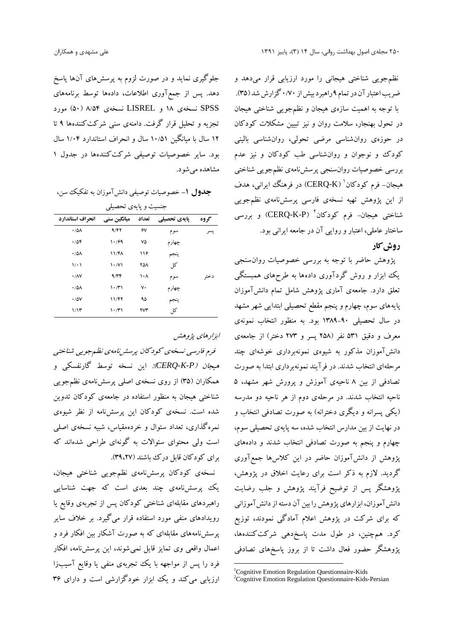نظمجویی شناختی هیجانی را مورد ارزیابی قرار میدهد و ضریب اعتبار آن در تمام ۹ راهبر دبیش از ۰/۷۰ گزارش شد (۳۵). با توجه به اهمیت سازهي هیجان و نظمجویی شناختی هیجان در تحول بهنجار، سلامت روان و نیز تبیین مشکلات کودکان در حوزهي روانشناسی مرضی تحولی، روانشناسی بالینی کودك و نوجوان و روانشناسی طب کودکان و نیز عدم بررسی خصوصیات روانسنجی پرسشنامهي نظمجویی شناختی هیجان– فرم کودکان ' (CERQ-K) در فرهنگ ایرانی، هدف از این پژوهش تهیه نسخهي فارسی پرسشنامهي نظمجویی شناختی هیجان– فرم کودکان<sup>۲ (</sup>CERQ-K-P) و بررسی ساختار عاملی، اعتبار و روایی آن در جامعه ایرانی بود.

# **روش کار**

پژوهش حاضر با توجه به بررسی خصوصیات روانسنجی یک ابزار و روش گردآوري دادهها به طرحهاي همبستگی تعلق دارد. جامعهي آماري پژوهش شامل تمام دانشآموزان پایههاي سوم، چهارم و پنجم مقطع تحصیلی ابتدایی شهر مشهد در سال تحصیلی 1389-90 بود. به منظور انتخاب نمونهي معرف و دقیق 531 نفر (258 پسرو 273 دختر) از جامعهي دانشآموزان مذکور به شیوهي نمونهبرداري خوشهاي چند مرحلهاي انتخاب شدند. در فرآیند نمونهبرداري ابتدا به صورت تصادفی از بین 8 ناحیهي آموزش و پرورش شهر مشهد، 5 ناحیه انتخاب شدند. در مرحلهي دوم از هر ناحیه دو مدرسه (یکی پسرانه و دیگري دخترانه) به صورت تصادفی انتخاب و در نهایت از بین مدارس انتخاب شده، سه پایهي تحصیلی سوم، چهارم و پنجم به صورت تصادفی انتخاب شدند و دادههاي پژوهش از دانشآموزان حاضر در این کلاسها جمعآوري گردید. لازم به ذکر است براي رعایت اخلاق در پژوهش، پژوهشگر پس از توضیح فرآیند پژوهش و جلب رضایت دانش آموزان، ابزارهای پژوهش را بین آن دسته از دانش آموزانی که براي شرکت در پژوهش اعلام آمادگی نمودند، توزیع کرد. همچنین، در طول مدت پاسخدهی شرکتکنندهها، پژوهشگر حضور فعال داشت تا از بروز پاسخهاي تصادفی

جلوگیري نماید و در صورت لزوم به پرسشهاي آنها پاسخ دهد. پس از جمعآوري اطلاعات، دادهها توسط برنامههاي SPSS نسخهي 18 و LISREL نسخهي 8/54 (50) مورد تجزیه و تحلیل قرار گرفت. دامنهي سنی شرکتکنندهها 9 تا 12 سال با میانگین 10/51 سال و انحراف استاندارد 1/04 سال بود. سایر خصوصیات توصیفی شرکتکنندهها در جدول 1 مشاهده میشود.

**جدول -1** خصوصیات توصیفی دانشآموزان به تفکیک سن،

| انحراف استاندارد           | میانگین سنی                         | تعداد | یایهی تحصیلی | گروه |
|----------------------------|-------------------------------------|-------|--------------|------|
| $\cdot$ / $\Delta \Lambda$ | 9/57                                | ۶٧    | سوم          | پسر  |
| .708                       | 1.169                               | ٧۵    | چهارم        |      |
| $\cdot$ /5/                | 11/F <sub>A</sub>                   | ۱۱۶   | ينجم         |      |
| $\setminus \cdot$          | $\mathcal{N} \setminus \mathcal{N}$ | ۲۵۸   | کل           |      |
| $\cdot$ / $\wedge$ $\vee$  | 9/77                                | ۱۰۸   | سوم          | دختر |
| $\cdot$ / $\Delta \Lambda$ | $\mathcal{N} \cdot \mathcal{N}$     | ٧٠    | چهارم        |      |
| $\cdot$ / $\Delta V$       | 11/۴۲                               | ۹۵    | بنجم         |      |
| 1/15                       | $\mathcal{N} \cdot \mathcal{N}$     | ۲۷۳   | کل           |      |

*ابزارهاي پژوهش*

*فرم فارسی نسخهي کودکان پرسشنامهي نظمجویی شناختی هیجان (P-K-CERQ(:* این نسخه توسط گارنفسکی و همکاران (35) از روي نسخهي اصلی پرسشنامهي نظمجویی شناختی هیجان به منظور استفاده در جامعهي کودکان تدوین شده است. نسخهي کودکان این پرسشنامه از نظر شیوهي نمرهگذاري، تعداد سئوال و خردهمقیاس، شبیه نسخهي اصلی است ولی محتواي سئوالات به گونهاي طراحی شدهاند که براي کودکان قابل درك باشند (39،27).

نسخهي کودکان پرسشنامهي نظمجویی شناختی هیجان، یک پرسشنامهي چند بعدي است که جهت شناسایی راهبردهاي مقابلهاي شناختی کودکان پس از تجربهي وقایع یا رویدادهاي منفی مورد استفاده قرار میگیرد. بر خلاف سایر پرسشنامههاي مقابلهاي که به صورت آشکار بین افکار فرد و اعمال واقعی وي تمایز قایل نمیشوند، این پرسشنامه، افکار فرد را پس از مواجهه با یک تجربهي منفی یا وقایع آسیبزا ارزیابی میکند و یک ابزار خودگزارشی است و دارای ۳۶

<sup>&</sup>lt;sup>1</sup>Cognitive Emotion Regulation Questionnaire-Kids <sup>2</sup>Cognitive Emotion Regulation Questionnaire-Kids-Persian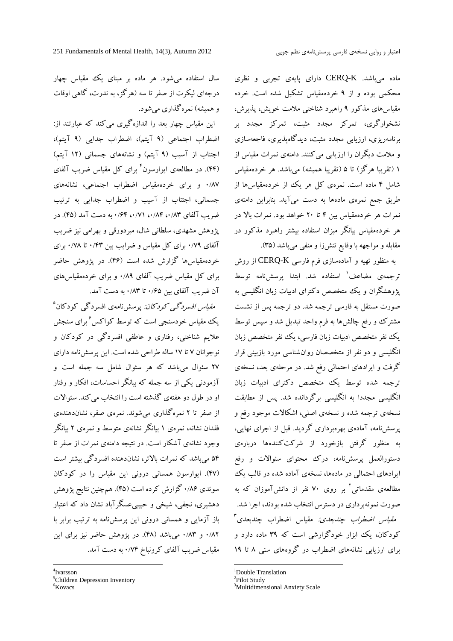ماده میباشد. K-CERQ داراي پایهي تجربی و نظري محکمی بوده و از 9 خردهمقیاس تشکیل شده است. خرده مقیاسهاي مذکور 9 راهبرد شناختی ملامت خویش، پذیرش، نشخوارگري، تمرکز مجدد مثبت، تمرکز مجدد بر برنامهریزي، ارزیابی مجدد مثبت، دیدگاهپذیري، فاجعهسازي و ملامت دیگران را ارزیابی میکنند. دامنهي نمرات مقیاس از 1 (تقریبا هرگز) تا 5 (تقریبا همیشه) میباشد. هر خردهمقیاس شامل 4 ماده است. نمرهي کل هر یک از خردهمقیاسها از طریق جمع نمرهي مادهها به دست میآید. بنابراین دامنهي نمرات هر خردهمقیاس بین 4 تا 20 خواهد بود. نمرات بالا در هر خردهمقیاس بیانگر میزان استفاده بیشتر راهبرد مذکور در مقابله و مواجهه با وقایع تنشزا و منفی میباشد (35).

به منظور تهیه و آمادهسازی فرم فارسی CERQ-K از روش 1 ترجمهي مضاعف استفاده شد. ابتدا پرسشنامه توسط پژوهشگران و یک متخصص دکتراي ادبیات زبان انگلیسی به صورت مستقل به فارسی ترجمه شد. دو ترجمه پس از نشست مشترك و رفع چالشها به فرم واحد تبدیل شد و سپس توسط یک نفر متخصص ادبیات زبان فارسی، یک نفر متخصص زبان انگلیسی و دو نفر از متخصصان روانشناسی مورد بازبینی قرار گرفت و ایرادهاي احتمالی رفع شد. در مرحلهي بعد، نسخهي ترجمه شده توسط یک متخصص دکتراي ادبیات زبان انگلیسی مجددا به انگلیسی برگردانده شد. پس از مطابقت نسخهي ترجمه شده و نسخهي اصلی، اشکالات موجود رفع و پرسشنامه، آمادهي بهرهبرداري گردید. قبل از اجراي نهایی، به منظور گرفتن بازخورد از شرکتکنندهها دربارهي دستورالعمل پرسشنامه، درك محتواي سئوالات و رفع ایرادهاي احتمالی در مادهها، نسخهي آماده شده در قالب یک 2 مطالعهي مقدماتی بر روي 70 نفر از دانشآموزان که به صورت نمونهبرداري در دسترس انتخاب شده بودند، اجرا شد. 3 *مقیاس اضطراب چندبعدي:* مقیاس اضطراب چندبعدي کودکان، یک ابزار خودگزارشی است که 39 ماده دارد و براي ارزیابی نشانههاي اضطراب در گروههاي سنی 8 تا 19

<sup>2</sup>Pilot Study

<sup>3</sup>Multidimensional Anxiety Scale

سال استفاده میشود. هر ماده بر مبناي یک مقیاس چهار درجهاي لیکرت از صفر تا سه (هرگز، به ندرت، گاهی اوقات و همیشه) نمرهگذاري میشود.

این مقیاس چهار بعد را اندازهگیري میکند که عبارتند از: اضطراب اجتماعی (9 آیتم)، اضطراب جدایی (9 آیتم)، اجتناب از آسیب (9 آیتم) و نشانههاي جسمانی (12 آیتم) (44). در مطالعهي ایوارسون 4 براي کل مقیاس ضریب آلفاي 0/87 و براي خردهمقیاس اضطراب اجتماعی، نشانههاي جسمانی، اجتناب از آسیب و اضطراب جدایی به ترتیب ضرب آلفاي ۸۳،۰/۹۴ ،۱/۷۱، ۰/۶۴ به دست آمد (۴۵). در پژوهش مشهدي، سلطانی شال، میردورقی و بهرامی نیز ضریب آلفاي 0/79 براي کل مقیاس و ضرایب بین 0/43 تا 0/78 براي خردهمقیاسها گزارش شده است (46). در پژوهش حاضر براي کل مقیاس ضریب آلفاي 0/89 و براي خردهمقیاسهاي آن ضریب آلفاي بین 0/65 تا 0/83 به دست آمد.

6براي سنجش م*قیاس افسردگی کودکان:* پرسشiامهی افسردگی کودکان<sup>۵</sup> علایم شناختی، رفتاري و عاطفی افسردگی در کودکان و نوجوانان 7 تا 17 ساله طراحی شده است. این پرسشنامه داراي 27 سئوال میباشد که هر سئوال شامل سه جمله است و آزمودنی یکی از سه جمله که بیانگر احساسات، افکار و رفتار او در طول دو هفتهي گذشته است را انتخاب میکند. سئوالات از صفر تا 2 نمرهگذاري میشوند. نمرهي صفر، نشاندهندهي فقدان نشانه، نمرهي 1 بیانگر نشانهي متوسط و نمرهي 2 بیانگر وجود نشانهي آشکار است. در نتیجه دامنهي نمرات از صفر تا ۵۴ می باشد که نمرات بالاتر، نشاندهنده افسردگی بیشتر است (47). ایوارسون همسانی درونی این مقیاس را در کودکان سوئدي 0/86 گزارش کرده است (45). همچنین نتایج پژوهش دهشیري، نجفی، شیخی و حبیبیعسگرآباد نشان داد که اعتبار باز آزمایی و همسانی درونی این پرسشنامه به ترتیب برابر با 0/82 و 0/83 میباشد (48). در پژوهش حاضر نیز براي این مقیاس ضریب آلفاي کرونباخ 0/74 به دست آمد.

<sup>&</sup>lt;sup>1</sup>Double Translation

<sup>4</sup>Ivarsson

<sup>5</sup>Children Depression Inventory

<sup>&</sup>lt;sup>6</sup>Kovacs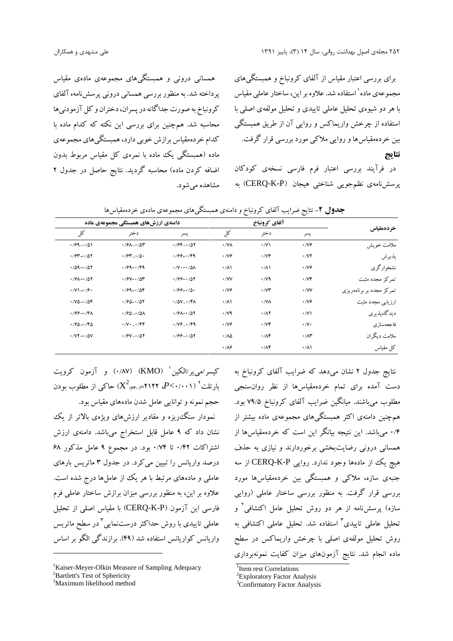براي بررسی اعتبار مقیاس از آلفاي کرونباخ و همبستگیهاي مجموعهی ماده<sup>۱</sup> استفاده شد. علاوه بر این، ساختار عاملی مقیاس با هر دو شیوهي تحلیل عاملی تاییدي و تحلیل مولفهي اصلی با استفاده از چرخش واریماکس و روایی آن از طریق همبستگی بین خردهمقیاسها و روایی ملاکی مورد بررسی قرار گرفت. **نتایج**

در فرآیند بررسی اعتبار فرم فارسی نسخهي کودکان پرسشنامهي نظمجویی شناختی هیجان (P-K-CERQ (به

همسانی درونی و همبستگیهاي مجموعهي مادهي مقیاس پرداخته شد. بهمنظوربررسی همسانی درونی پرسشنامه**،**آلفاي کرونباخ به صورت جداگانه در پسران، دختران و کل آزمودنیها محاسبه شد. همچنین براي بررسی این نکته که کدام ماده با کدام خردهمقیاس برازش خوبی دارد،همبستگیهايمجموعهي ماده (همبستگی یک ماده با نمرهي کل مقیاس مربوط بدون اضافه کردن ماده) محاسبه گردید. نتایج حاصل در جدول 2 مشاهده میشود.

| خردهمقياس                | آلفاي كرونباخ                 |                               |                            | دامنهی ارزش های همبستگی مجموعهی ماده          |                                                  |                                                    |  |  |
|--------------------------|-------------------------------|-------------------------------|----------------------------|-----------------------------------------------|--------------------------------------------------|----------------------------------------------------|--|--|
|                          | پسر                           | دختر                          | کل                         | پسر                                           | دختر                                             | کل                                                 |  |  |
| ملامت خويش               | $\cdot$ /V۶                   | $\cdot$ /V)                   | $\cdot$ / $\sqrt{\lambda}$ | $1/9F - 1/07$                                 | $\cdot$ / $9$ $\wedge$ $\cdot$ / $\wedge$ $\sim$ | $1/99 - 101$                                       |  |  |
| يذيرش                    | $\cdot$ / $\vee$ $\cdot$      | $\cdot$ / $\vee \mathfrak{F}$ | $\cdot$ /V $\hat{z}$       | $\cdot$ /99 - $\cdot$ /99                     | $\cdot$ / $5 - \cdot 10$                         | $1/94 - 1/07$                                      |  |  |
| نشخوارگري                | $\cdot$ / $\vee \hat{z}$      | $\cdot/\lambda$               | $\cdot/\lambda$            | $\cdot$ /V $\cdot$ $ \cdot$ / $\Delta$ A      | $1/99 - 179$                                     | $.709 - .707$                                      |  |  |
| تمركز مجدد مثبت          | $\cdot$ / $\vee \mathfrak{r}$ | $\cdot$ / $\vee$ 9            | $\cdot$ /VV                | $1/99 - 1/07$                                 | $190 - 100$                                      | $1/9A - 1/07$                                      |  |  |
| تمرکز مجدد بر برنامهریزی | $\cdot$ /VV                   | $\cdot$ / $\vee\tau$          | $\cdot$ / $\vee \hat{z}$   | $199 - 10$                                    | $1/99 - 1/09$                                    | $\cdot$ /V) $-\cdot$ / $\cdot$                     |  |  |
| ارزیابی مجدد مثبت        | $\cdot$ /V۶                   | $\cdot$ /VA                   | $\cdot/\lambda$            | $\cdot$ / $\Delta V$ <sub>-</sub> $\cdot$ /۴۸ | $1/90 - 1/07$                                    | $\cdot$ / $\vee$ $\circ$ $\cdot$ / $\circ$ $\circ$ |  |  |
| ديدگاهيذيري              | $\cdot$ /V)                   | $\cdot/\Lambda$ Y             | $\cdot$ / $\vee$ 9         | $1/9A - 1/07$                                 | $\cdot$ / $90 - \cdot$ / $0$                     | $1/99 - 171$                                       |  |  |
| فاجعهسازى                | $\cdot/\vee\cdot$             | $\cdot$ / $\vee \mathfrak{F}$ | $\cdot$ /V $\hat{z}$       | $\cdot$ /Vg - $\cdot$ /F9                     | $\cdot$ /V $\cdot$ $\cdot$ /FF                   | $1/90 - 1/90$                                      |  |  |
| ملامت دیگران             | $\cdot$ / $\wedge$ ۳          | $\cdot$ / $\wedge$ ۴          | $\cdot$ / $\lambda \Delta$ | $1/99 - 107$                                  | $4/9V - 1/0Y$                                    | $\cdot$ /VY $-\cdot$ / $\circ$ /                   |  |  |
| کل مقیاس                 | $\cdot/\lambda$               | $\cdot$ / $\wedge$ ۴          | $\cdot$ / $\wedge$         |                                               |                                                  |                                                    |  |  |

**جدول -2** نتایج ضرایب آلفاي کرونباخ و دامنهي همبستگیهاي مجموعهي مادهي خردهمقیاسها

باخ به کیسر/می یر/الکین MO) (۱۸۷/ ۰/۵۷) و آزمون کرویت بارتلت<sup>۲</sup> (۶۰٬۰۰۱)\* ۲۱۲۲=<sub>(۶۳۰</sub>) حاکی از مطلوب بودن حجم نمونه و توانایی عامل شدن مادههاي مقیاس بود.

نمودار سنگریزه و مقادیر ارزشهاي ویژهي بالاتر از یک نشان داد که 9 عامل قابل استخراج میباشد. دامنهي ارزش اشتراکات 0/42 تا 0/74 بود. در مجموع 9 عامل مذکور 68 درصد واریانس را تبیین میکرد. در جدول 3 ماتریس بارهاي عاملی و مادههاي مرتبط با هر یک از عاملها درج شده است. علاوه بر این، به منظور بررسی میزان برازش ساختار عاملی فرم فارسی این آزمون (P-K-CERQ (با مقیاس اصلی از تحلیل <sub>،</sub> به عاملی تاییدی با روش حداکثر درستنمایی <sup>۳</sup> در سطح ماتریس واریانس کواریانس استفاده شد (49). برازندگی الگو بر اساس

<sup>1</sup>Kaiser-Meyer-Olkin Measure of Sampling Adequacy <sup>2</sup>Bartlett's Test of Sphericity

<sup>3</sup>Maximum likelihood method

نتایج جدول 2 نشان میدهد که ضرایب آلفاي کرونباخ به دست آمده براي تمام خردهمقیاسها از نظر روانسنجی مطلوب میباشند. میانگین ضرایب آلفاي کرونباخ 79/5 بود. همچنین دامنهي اکثر همبستگیهاي مجموعهي ماده بیشتر از 0/4 میباشد. این نتیجه بیانگر این است که خردهمقیاسها از همسانی درونی رضایتبخشی برخوردارند و نیازي به حذف هیچ یک از مادهها وجود ندارد. روایی P-K-CERQ از سه جنبهي سازه، ملاکی و همبستگی بین خردهمقیاسها مورد بررسی قرار گرفت. به منظور بررسی ساختار عاملی (روایی 2 سازه) پرسشنامه از هر دو روش تحلیل عامل اکتشافی و تحلیل عاملی تاییدی<sup>۳</sup> استفاده شد. تحلیل عاملی اکتشافی به روش تحلیل مولفهي اصلی با چرخش واریماکس در سطح ماده انجام شد. نتایج آزمونهاي میزان کفایت نمونهبرداري

<sup>1</sup> Item rest Correlations

<sup>&</sup>lt;sup>2</sup>Exploratory Factor Analysis

<sup>&</sup>lt;sup>3</sup>Confirmatory Factor Analysis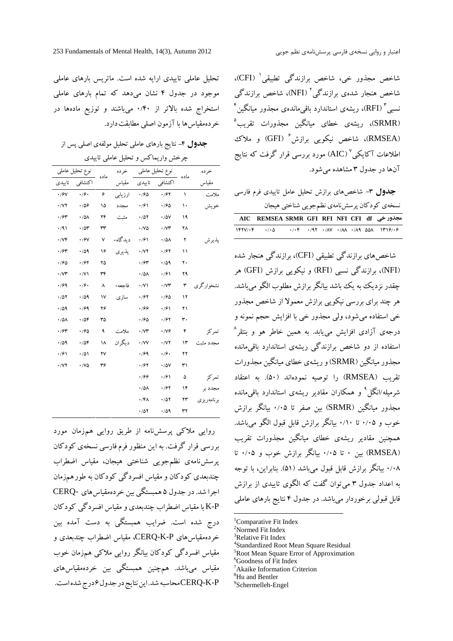1 شاخص مجذور خی، شاخص برازندگی تطبیقی ،(CFI) شاخص هنجار شدهی برازندگی<sup>۲</sup> (NFI)، شاخص برازندگی  $^{\mathfrak{r}}$ ، ریشه $^{\mathfrak{r}}$  استاندارد باقی $\mathfrak{sl}_2$ ه مجذور میانگین (SRMR(، ریشهي خطاي میانگین مجذورات تقریب (SRMR)، ریشهی خطای میانگین مجذورات تقریب<sup>۵</sup><br>(RMSEA)، شاخص نیکویی برازش<sup>۶</sup> (GFI) و ملاک اطلاعات آکایکی<sup>٬</sup> (AIC) مورد بررسی قرار گرفت که نتایج آنها در جدول 3 مشاهده میشود.

|                                    |  |  |  | نسخەی كودكان پرسشنامەی نظمجویی شناختی هیجان |
|------------------------------------|--|--|--|---------------------------------------------|
|                                    |  |  |  |                                             |
| AIC REMSEA SRMR GFI RFI NFI CFI df |  |  |  |                                             |

شاخص های برازندگی تطبیقی (CFI)، برازندگی هنجار شده (NFI(، برازندگی نسبی (RFI (و نیکویی برازش (GFI (هر چقدر نزدیک به یک باشد بیانگر برازش مطلوب الگو میباشد. هر چند براي بررسی نیکویی برازش معمولا از شاخص مجذور خی استفاده میشود، ولی مجذور خی با افزایش حجم نمونه و درجهي آزادي افزایش مییابد. به همین خاطر هو و بنتلر 8 <sup>اس</sup>تفاده از دو شاخص برازندگی ریشهی استاندارد باقیمانده مس<sup>جدد مثبت</sup> مجذورمیانگین (SRMR(وریشهي خطاي میانگین مجذورات تقریب (RMSEA (را توصیه نمودهاند (50). به اعتقاد شرمیله/انگل<sup>۹</sup> و همکاران مقادیر ریشهی استاندارد باقیمانده مجذور میانگین (SRMR (بین صفر تا 0/05 بیانگر برازش خوب و 0/05 تا 0/10 بیانگر برازش قابل قبول الگو میباشد. همچنین مقادیر ریشهي خطاي میانگین مجذورات تقریب (RMSEA (بین 0 تا 0/05 بیانگر برازش خوب و 0/05 تا 0/08 بیانگر برازش قابل قبول میباشد (51). بنابراین، با توجه به اعداد جدول 3 میتوان گفت که الگوي تاییدي از برازش قابل قبولی برخوردار میباشد. در جدول 4 نتایج بارهاي عاملی

- ${}^{1}$ Comparative Fit Index
- <sup>2</sup>Normed Fit Index
- 
- <sup>3</sup>Relative Fit Index<br><sup>4</sup>Standardized Root Mean Square Residual <sup>5</sup>Root Mean Square Error of Approximation
- <sup>6</sup>Goodness of Fit Index
- <sup>7</sup>Akaike Information Criterion
- 
- <sup>8</sup>Hu and Bentler<br><sup>9</sup>Schermelleh-Engel

تحلیل عاملی تاییدي ارایه شده است. ماتریس بارهاي عاملی موجود در جدول 4 نشان میدهد که تمام بارهاي عاملی استخراج شده بالاتر از 0/40 میباشند و توزیع مادهها در خردهمقیاسها با آزمون اصلی مطابقتدارد.

**جدول -**4نتایج بارهاي عاملی تحلیل مولفهي اصلی پس از

|                         | چرخش واریماکس و تحلیل عاملی تاییدی |      |           |                          |                         |           |            |  |  |
|-------------------------|------------------------------------|------|-----------|--------------------------|-------------------------|-----------|------------|--|--|
|                         | نوع تحليل عاملي                    |      | خرده      |                          | نوع تحليل عاملي         | ماده      | خرده       |  |  |
| تاييدى                  | اكتشافي                            | ماده | مقياس     | تاييدى                   | اكتشافي                 |           | مقياس      |  |  |
| $\cdot$ / $\gamma$      | .79.                               | ۶    | ارزيابى   | .760                     | .791                    | $\lambda$ | ملامت      |  |  |
| $\cdot$ / $\vee$ $\vee$ | .709                               | ۱۵   | مجدد      | $\cdot$ /61              | $\cdot$ 190             | ۱۰        | خويش       |  |  |
| $\cdot$ /۶۳             | $\cdot/\Delta\Lambda$              | ۲۴   | مثبت      | .701                     | $\cdot/\Delta V$        | ۱۹        |            |  |  |
| $\cdot$ /9)             | .704                               | ٣٣   |           | $\cdot$ /V $\Delta$      | $\cdot$ / $\vee$ ۳      | ۲۸        |            |  |  |
| $\cdot$ / $\vee$ ۴      | $\cdot$ / $9$ V                    | ٧    | د بد گاه- | $\cdot$ /61              | $\cdot/\Delta\Lambda$   | ۲         | يذيرش      |  |  |
| $\cdot$ /۶۳             | .44                                | ۱۶   | يذيري     | $\cdot$ / $\vee$ $\cdot$ | $\cdot$ / $\gamma$      | ۱۱        |            |  |  |
| $\cdot$ /90             | .797                               | ۲۵   |           | $\cdot$ /۶۳              | $\cdot$ /09             | ٢.        |            |  |  |
| $\cdot$ / $\gamma$      | $\cdot$ /V)                        | ٣۴   |           | $\cdot/\Delta\Lambda$    | $\cdot$ /61             | ۲۹        |            |  |  |
| .799                    | .79.                               | ٨    | فاجعه-    | $\cdot$ /V)              | $\cdot$ / $\vee$ ۳      | ٣         | نشخوارگري  |  |  |
| .701                    | .44                                | ١٧   | ساز ی     | $\cdot$ /۶۲              | $\cdot$ 190             | ۱۲        |            |  |  |
| .44                     | .799                               | ۲۶   |           | .199                     | $\cdot$ /۶۱             | ۲۱        |            |  |  |
| .78A                    | .708                               | ٣۵   |           | .780                     | $\cdot$ /۶۲             | ٣٠        |            |  |  |
| $\cdot$ /۶۳             | .76                                | ٩    | ملامت     | $\cdot$ / $\vee\uparrow$ | $\cdot$ /V۶             | ۴         | تمركز      |  |  |
| .709                    | .708                               | ۱۸   | ديگر ان   | $\cdot$ /VV              | $\cdot$ / $\vee$ $\vee$ | ۱۳        | مجدد مثہ   |  |  |
| $\cdot$ /61             | $\cdot/\Delta$                     | ۲٧   |           | .799                     | $\cdot$ /۶ $\cdot$      | ۲۲        |            |  |  |
| $\cdot$ / $\vee$ $\vee$ | $\cdot$ /VQ                        | ٣۶   |           | $\cdot$ /۶۲              | $\cdot/\Delta V$        | ٣١        |            |  |  |
|                         |                                    |      |           | .199                     | $\cdot$ /61             | ۵         | تمركز      |  |  |
|                         |                                    |      |           | $\cdot/\Delta\Lambda$    | ۰/۶۲                    | ۱۴        | مجدد بر    |  |  |
|                         |                                    |      |           | $\cdot$ /۴۸              | $\cdot$ /0٢             | ۲۳        | برنامەريزى |  |  |
|                         |                                    |      |           | $\cdot$ /57              | $\cdot$ /09             | ٣٢        |            |  |  |

روایی ملاکی پرسشنامه از طریق روایی همزمان مورد بررسی قرار گرفت. به این منظور فرمفارسی نسخهي کودکان پرسشنامهي نظمجویی شناختی هیجان، مقیاس اضطراب چندبعدي کودکان و مقیاس افسردگی کودکان به طورهمزمان اجرا شد.در جدول 5 همبستگی بین خردهمقیاسهاي -CERQ P-K با مقیاس اضطراب چندبعدي ومقیاس افسردگی کودکان درج شده است. ضرایب همبستگی به دست آمده بین خردهمقیاسهاي P-K-CERQ، مقیاس اضطراب چندبعدي و مقیاس افسردگی کودکان بیانگر روایی ملاکی همزمان خوب مقیاس میباشد. همچنین همبستگی بین خردهمقیاسهاي P-K-CERQمحاسبه شد.ایننتایجدرجدول6درجشدهاست.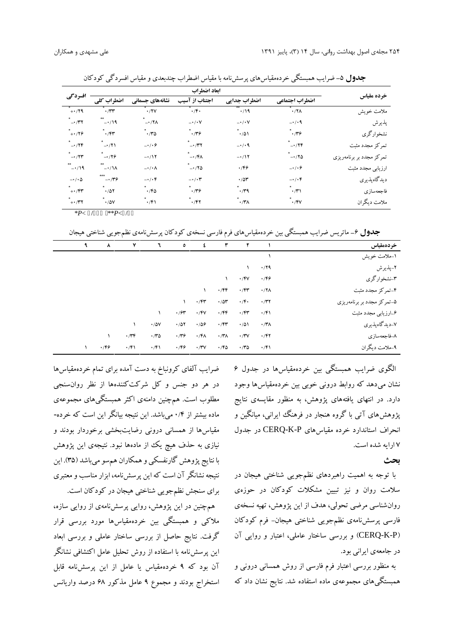| خرده مقياس               | ابعاد اضطراب        |                   |                          |                        |                        |                       |  |  |  |  |
|--------------------------|---------------------|-------------------|--------------------------|------------------------|------------------------|-----------------------|--|--|--|--|
|                          | اضطراب اجتماعي      | اضطراب جدايي      | اجتناب از آسیب           | نشانههای جسمانی        | اضطراب کلی             | افسردگی               |  |  |  |  |
| ملامت خويش               | $\cdot$ /۲ $\wedge$ | $\cdot$ /19       | $\cdot$ /۴.              | .77V                   | $\cdot$                | $+ \cdot$ /۲۹         |  |  |  |  |
| پذيرش                    | $-1/4$              | $-\cdot/\cdot V$  | $-\cdot/\cdot V$         | $-17\lambda$           | $***$<br>$-1/19$       | $\rightarrow$ /۳۲     |  |  |  |  |
| نشخوارگري                | .779                | $\cdot/\Delta$    | .779                     | .70                    | .75                    | $+ \cdot 79$          |  |  |  |  |
| تمركز مجدد مثبت          | $-179$              | $-\cdot/ \cdot 9$ | $-1/\tau$                | $-\cdot/(\cdot)$       | $\rightarrow$ /٢١      | $-17F$                |  |  |  |  |
| تمرکز مجدد بر برنامهریزی | $-170$              | $-1$              | $-1/\mathfrak{F}\Lambda$ | $-117$                 | $-179$                 | $-177$                |  |  |  |  |
| ارزیابی مجدد مثبت        | $-\cdot/(\cdot)$    | .799              | $-170$                   | $-\cdot/\cdot \Lambda$ | **<br>$-\cdot/\lambda$ | $-1/19$               |  |  |  |  |
| ديدگاهپذيري              | $-\cdot/\cdot f$    | .78               | $-\cdot/\cdot$ ۳         | $-\cdot/\cdot f$       | ***<br>$-179$          | $-\cdot/\cdot \Delta$ |  |  |  |  |
| فاجعهسازي                | $\cdot$ /۳۱         | $\cdot$ /۳۹       | .779                     | .76                    | $\star$<br>.707        | $+ \cdot$ /۴۳         |  |  |  |  |
| ملامت ديگران             | $\cdot$ /۴۷         | $\cdot$ /۳۸       | .797                     | $\cdot$ /۴۱            | $\cdot$ / $\Delta V$   | $+ \cdot$ /۳۲         |  |  |  |  |

**جدول -**5ضرایب همبستگی خردهمقیاسهاي پرسشنامه با مقیاس اضطراب چندبعدي و مقیاس افسردگی کودکان

/ >P/\*\*<br>**جدول** ۶ــ ماتریس ضرایب همبستگی بین خردهمقیاسهای فرم فارسی نسخهی کودکان پرسشiامهی نظمجویی شناختی هیجان

| خردهمقياس                  |                  | $\mathbf{r}$       | ٣           | ٤           | $\bullet$        | ٦                    | ٧           | $\lambda$   |  |
|----------------------------|------------------|--------------------|-------------|-------------|------------------|----------------------|-------------|-------------|--|
| ۱۔ملامت خویش               |                  |                    |             |             |                  |                      |             |             |  |
| ٢_پذيرش                    | .79              |                    |             |             |                  |                      |             |             |  |
| ۳-نشخوارگري                | .799             | $\cdot$ /۴۷        | ١           |             |                  |                      |             |             |  |
| ۴-تمرکز مجدد مثبت          | .77 <sub>A</sub> | $\cdot$ /۴۳        | $\cdot$ /۴۴ |             |                  |                      |             |             |  |
| ۵-تمرکز مجدد بر برنامهریزی | $\cdot$ /۳۲      | $\cdot$ /۴ $\cdot$ | .704        | $\cdot$ /۴۳ |                  |                      |             |             |  |
| ۶–ارزیابی مجدد مثبت        | $\cdot$ /۴۱      | $\cdot$ /۴۳        | $\cdot$ /۴۴ | $\cdot$ /۴۷ | $\cdot$ / $\sim$ |                      |             |             |  |
| ٧-ديدگاهپذيري              | $\cdot$ /۳۸      | $\cdot/\Delta$     | $\cdot$ /۴۳ | $\cdot$ 106 | $\cdot/\Delta Y$ | $\cdot$ / $\Delta V$ | $\lambda$   |             |  |
| ٨–فاجعهسازي                | $\cdot$ /۴۲      | $\cdot$ /۳ $\vee$  | $\cdot$ /۳۸ | $\cdot$ /۴۸ | .779             | $\cdot$              | $\cdot$ /۳۴ |             |  |
| ۹-ملامت دیگران             | $\cdot$ /۴۱      | $\cdot$ /۳۵        | $\cdot$ /۴۵ | $\cdot$ /۳۷ | .799             | $\cdot$ /۴۱          | $\cdot$ /۴۱ | $\cdot$ /۴۶ |  |

الگوي ضرایب همبستگی بین خردهمقیاسها در جدول 6 نشان میدهد که روابط درونی خوبی بین خردهمقیاسها وجود دارد. در انتهاي یافتههاي پژوهش، به منظور مقایسهي نتایج پژوهشهاي آتی با گروه هنجار در فرهنگ ایرانی، میانگین و انحراف استاندارد خرده مقیاسهاي P-K-CERQ در جدول 7 ارایه شده است.

## **بحث**

با توجه به اهمیت راهبردهاي نظمجویی شناختی هیجان در سلامت روان و نیز تبیین مشکلات کودکان در حوزهي روانشناسی مرضی تحولی، هدف از این پژوهش، تهیه نسخهي فارسی پرسشنامهي نظمجویی شناختی هیجان- فرم کودکان (P-K-CERQ (و بررسی ساختار عاملی، اعتبار و روایی آن در جامعهي ایرانی بود.

به منظور بررسی اعتبار فرم فارسی از روش همسانی درونی و همبستگیهاي مجموعهي ماده استفاده شد. نتایج نشان داد که

ضرایب آلفاي کرونباخ به دست آمده براي تمام خردهمقیاسها در هر دو جنس و کل شرکتکنندهها از نظر روانسنجی مطلوب است. همچنین دامنهي اکثر همبستگیهاي مجموعهي ماده بیشتر از 0/4 میباشد. این نتیجه بیانگر این است که خرده- مقیاسها از همسانی درونی رضایتبخشی برخوردار بودند و نیازی به حذف هیچ یک از مادهها نبود. نتیجهی این پژوهش با نتایج پژوهش گارنفسکی وهمکاران همسو میباشد (35). این نتیجه نشانگر آن است که این پرسشنامه، ابزار مناسب و معتبري براي سنجش نظمجویی شناختی هیجان در کودکان است.

همچنین در این پژوهش، روایی پرسشنامهي از روایی سازه، ملاکی و همبستگی بین خردهمقیاسها مورد بررسی قرار گرفت. نتایج حاصل از بررسی ساختار عاملی و بررسی ابعاد این پرسشنامه با استفاده از روش تحلیل عامل اکتشافی نشانگر آن بود که 9 خردهمقیاس یا عامل از این پرسشنامه قابل استخراج بودند و مجموع 9 عامل مذکور 68 درصد واریانس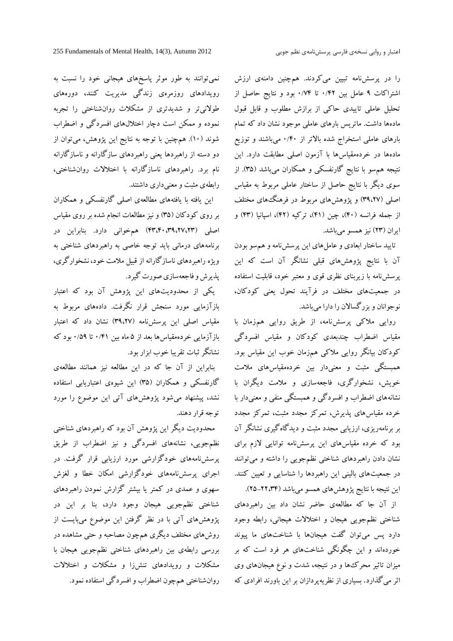را در پرسشنامه تبیین میکردند. همچنین دامنهي ارزش اشتراکات 9 عامل بین 0/42 تا 0/74 بود و نتایج حاصل از تحلیل عاملی تاییدي حاکی از برازش مطلوب و قابل قبول مادهها داشت. ماتریس بارهاي عاملی موجود نشان داد که تمام بارهاي عاملی استخراج شده بالاتر از 0/40 میباشند و توزیع مادهها در خردهمقیاسها با آزمون اصلی مطابقت دارد. این نتیجه همسو با نتایج گارنفسکی و همکاران میباشد (35). از سوي دیگر با نتایج حاصل از ساختار عاملی مربوط به مقیاس اصلی (39،27) و پژوهشهاي مربوط در فرهنگهاي مختلف از جمله فرانسه (40)، چین (41)، ترکیه (42)، اسپانیا (43) و ایران (23) نیز همسو میباشد.

تایید ساختار ابعادي و عاملهاي این پرسشنامه و همسو بودن آن با نتایج پژوهشهاي قبلی نشانگر آن است که این پرسشنامه با زیربناي نظري قوي و معتبر خود، قابلیت استفاده در جمعیتهاي مختلف در فرآیند تحول یعنی کودکان، نوجوانان و بزرگسالان را دارا میباشد.

روایی ملاکی پرسشنامه، از طریق روایی همزمان با مقیاس اضطراب چندبعدي کودکان و مقیاس افسردگی کودکان بیانگر روایی ملاکی همزمان خوب این مقیاس بود. همبستگی مثبت و معنیدار بین خردهمقیاسهاي ملامت خویش، نشخوارگري، فاجعهسازي و ملامت دیگران با نشانههاي اضطراب و افسردگی و همبستگی منفی و معنیدار با خرده مقیاسهاي پذیرش، تمرکز مجدد مثبت، تمرکز مجدد بر برنامهریزي، ارزیابی مجدد مثبت و دیدگاهگیري نشانگر آن بود که خرده مقیاسهاي این پرسشنامه توانایی لازم براي نشان دادن راهبردهاي شناختی نظمجویی را داشته و میتوانند در جمعیتهاي بالینی این راهبردها را شناسایی و تعیین کنند. این نتیجه با نتایج پژوهشهای همسو میباشد (۲۲،۳۴–۲۵).

از آن جا که مطالعهي حاضر نشان داد بین راهبردهاي شناختی نظمجویی هیجان و اختلالات هیجانی، رابطه وجود دارد پس میتوان گفت هیجانها با شناختهاي ما پیوند خوردهاند و این چگونگی شناختهاي هر فرد است که بر میزان تاثیر محركها و در نتیجه، شدت و نوع هیجانهاي وي اثر میگذارد. بسیاري از نظریهپردازان بر این باورند افرادي که

نمیتوانند به طور موثر پاسخهاي هیجانی خود را نسبت به رویدادهاي روزمرهي زندگی مدیریت کنند، دورههاي طولانیتر و شدیدتري از مشکلات روانشناختی را تجربه نموده و ممکن است دچار اختلالهاي افسردگی و اضطراب شوند (10). همچنین با توجه به نتایج این پژوهش، میتوان از دو دسته از راهبردها یعنی راهبردهاي سازگارانه و ناسازگارانه نام برد. راهبردهاي ناسازگارانه با اختلالات روانشناختی، رابطهي مثبت و معنیداري داشتند.

این یافته با یافتههاي مطالعهي اصلی گارنفسکی و همکاران بر روي کودکان (35) و نیز مطالعات انجام شده بر روي مقیاس اصلی (43،40،39،27،23) همخوانی دارد. بنابراین در برنامههاي درمانی باید توجه خاصی به راهبردهاي شناختی به ویژه راهبردهاي ناسازگارانه از قبیل ملامت خود، نشخوارگري، پذیرش و فاجعهسازي صورت گیرد.

یکی از محدودیتهاي این پژوهش آن بود که اعتبار بازآزمایی مورد سنجش قرار نگرفت. دادههاي مربوط به مقیاس اصلی این پرسشنامه (39،27) نشان داد که اعتبار بازآزمایی خردهمقیاسها بعد از 5 ماه بین 0/41 تا 0/59 بود که نشانگر ثبات تقریبا خوب ابزار بود.

بنابراین از آن جا که در این مطالعه نیز همانند مطالعهي گارنفسکی و همکاران (35) این شیوهي اعتباریابی استفاده نشد، پیشنهاد میشود پژوهشهاي آتی این موضوع را مورد توجه قرار دهند.

محدودیت دیگر این پژوهش آن بود که راهبردهاي شناختی نظمجویی، نشانههاي افسردگی و نیز اضطراب از طریق پرسشنامههاي خودگزارشی مورد ارزیابی قرار گرفت. در اجراي پرسشنامههاي خودگزارشی امکان خطا و لغزش سهوي و عمدي در کمتر یا بیشتر گزارش نمودن راهبردهاي شناختی نظمجویی هیجان وجود دارد، بنا بر این در پژوهشهاي آتی با در نظر گرفتن این موضوع میبایست از روشهاي مختلف دیگري همچون مصاحبه و حتی مشاهده در بررسی رابطهي بین راهبردهاي شناختی نظمجویی هیجان با مشکلات و رویدادهاي تنشزا و مشکلات و اختلالات روانشناختی همچون اضطراب و افسردگی استفاده نمود.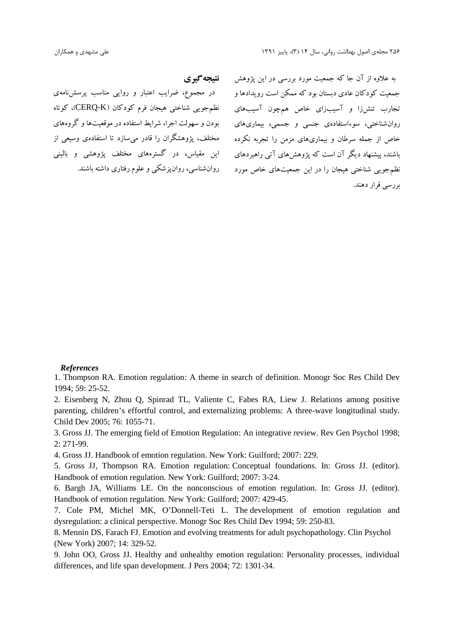# **نتیجهگیري**

در مجموع، ضرایب اعتبار و روایی مناسب پرسشنامهي بودن و سهولت اجرا، شرایط استفاده در موقعیتها و گروههاي مختلف، پژوهشگران را قادر میسازد تا استفادهي وسیعی از

به علاوه از آن جا که جمعیت مورد بررسی در این پژوهش جمعیت کودکان عادي دبستان بود که ممکن است رویدادها و تجارب تنشزا و آسیبزاي خاص همچون آسیبهاي نظمجویی شناختی هیجان فرم کودکان (K-CERQ(، کوتاه روانشناختی، سوءاستفادهي جنسی و جسمی، بیماريهاي خاص از جمله سرطان و بیماريهاي مزمن را تجربه نکرده باشند، پیشنهاد دیگر آن است که پژوهشهاي آتی راهبردهاي این مقیاس، در گسترههاي مختلف پژوهشی و بالینی نظم جویبی شناختی هیجان را در این جمعیتهای خاص مورد روانشناسی، روانپزشکی و علوم رفتاری داشته باشند. بررسی قرار دهند.

## *References*

1. Thompson RA. Emotion regulation: A theme in search of definition. Monogr Soc Res Child Dev 1994; 59: 25-52.

2. Eisenberg N, Zhou Q, Spinrad TL, Valiente C, Fabes RA, Liew J. Relations among positive parenting, children's effortful control, and externalizing problems: A three-wave longitudinal study. Child Dev 2005; 76: 1055-71.

3. Gross JJ. The emerging field of Emotion Regulation: An integrative review. Rev Gen Psychol 1998; 2: 271-99.

4. Gross JJ. Handbook of emotion regulation. New York: Guilford; 2007: 229.

5. Gross JJ, Thompson RA. Emotion regulation: Conceptual foundations. In: Gross JJ. (editor). Handbook of emotion regulation. New York: Guilford; 2007: 3-24.

6. Bargh JA, Williams LE. On the nonconscious of emotion regulation. In: Gross JJ. (editor). Handbook of emotion regulation. New York: Guilford; 2007: 429-45.

7. Cole PM, Michel MK, O'Donnell-Teti L. The development of emotion regulation and dysregulation: a clinical perspective. Monogr Soc Res Child Dev 1994; 59: 250-83.

8. Mennin DS, Farach FJ. Emotion and evolving treatments for adult psychopathology. Clin Psychol (New York) 2007; 14: 329-52.

9. John OO, Gross JJ. Healthy and unhealthy emotion regulation: Personality processes, individual differences, and life span development. J Pers 2004; 72: 1301-34.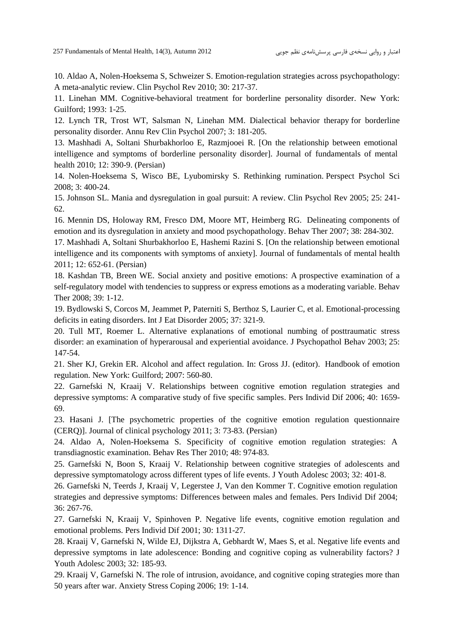10. Aldao A, Nolen-Hoeksema S, Schweizer S. Emotion-regulation strategies across psychopathology: A meta-analytic review. Clin Psychol Rev 2010; 30: 217-37.

11. Linehan MM. Cognitive-behavioral treatment for borderline personality disorder. New York: Guilford; 1993: 1-25.

12. Lynch TR, Trost WT, Salsman N, Linehan MM. Dialectical behavior therapy for borderline personality disorder. Annu Rev Clin Psychol 2007; 3: 181-205.

13. Mashhadi A, Soltani Shurbakhorloo E, Razmjooei R. [On the relationship between emotional intelligence and symptoms of borderline personality disorder]. Journal of fundamentals of mental health 2010; 12: 390-9. (Persian)

14. Nolen-Hoeksema S, Wisco BE, Lyubomirsky S. Rethinking rumination. Perspect Psychol Sci 2008; 3: 400-24.

15. Johnson SL. Mania and dysregulation in goal pursuit: A review. Clin Psychol Rev 2005; 25: 241- 62.

16. Mennin DS, Holoway RM, Fresco DM, Moore MT, Heimberg RG. Delineating components of emotion and its dysregulation in anxiety and mood psychopathology. Behav Ther 2007; 38: 284-302.

17. Mashhadi A, Soltani Shurbakhorloo E, Hashemi Razini S. [On the relationship between emotional intelligence and its components with symptoms of anxiety]. Journal of fundamentals of mental health 2011; 12: 652-61. (Persian)

18. Kashdan TB, Breen WE. Social anxiety and positive emotions: A prospective examination of a self-regulatory model with tendencies to suppress or express emotions as a moderating variable. Behav Ther 2008; 39: 1-12.

19. Bydlowski S, Corcos M, Jeammet P, Paterniti S, Berthoz S, Laurier C, et al. Emotional-processing deficits in eating disorders. Int J Eat Disorder 2005; 37: 321-9.

20. Tull MT, Roemer L. Alternative explanations of emotional numbing of posttraumatic stress disorder: an examination of hyperarousal and experiential avoidance. J Psychopathol Behav 2003; 25: 147-54.

21. Sher KJ, Grekin ER. Alcohol and affect regulation. In: Gross JJ. (editor). Handbook of emotion regulation. New York: Guilford; 2007: 560-80.

22. Garnefski N, Kraaij V. Relationships between cognitive emotion regulation strategies and depressive symptoms: A comparative study of five specific samples. Pers Individ Dif 2006; 40: 1659- 69.

23. Hasani J. [The psychometric properties of the cognitive emotion regulation questionnaire (CERQ)]. Journal of clinical psychology 2011; 3: 73-83. (Persian)

24. Aldao A, Nolen-Hoeksema S. Specificity of cognitive emotion regulation strategies: A transdiagnostic examination. Behav Res Ther 2010; 48: 974-83.

25. Garnefski N, Boon S, Kraaij V. Relationship between cognitive strategies of adolescents and depressive symptomatology across different types of life events. J Youth Adolesc 2003; 32: 401-8.

26. Garnefski N, Teerds J, Kraaij V, Legerstee J, Van den Kommer T. Cognitive emotion regulation strategies and depressive symptoms: Differences between males and females. Pers Individ Dif 2004; 36: 267-76.

27. Garnefski N, Kraaij V, Spinhoven P. Negative life events, cognitive emotion regulation and emotional problems. Pers Individ Dif 2001; 30: 1311-27.

28. Kraaij V, Garnefski N, Wilde EJ, Dijkstra A, Gebhardt W, Maes S, et al. Negative life events and depressive symptoms in late adolescence: Bonding and cognitive coping as vulnerability factors? J Youth Adolesc 2003; 32: 185-93.

29. Kraaij V, Garnefski N. The role of intrusion, avoidance, and cognitive coping strategies more than 50 years after war. Anxiety Stress Coping 2006; 19: 1-14.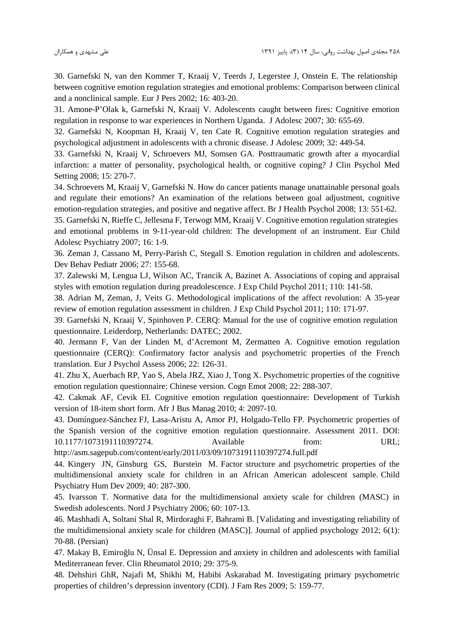30. Garnefski N, van den Kommer T, Kraaij V, Teerds J, Legerstee J, Onstein E. The relationship between cognitive emotion regulation strategies and emotional problems: Comparison between clinical and a nonclinical sample. Eur J Pers 2002; 16: 403-20.

31. Amone-P'Olak k, Garnefski N, Kraaij V. Adolescents caught between fires: Cognitive emotion regulation in response to war experiences in Northern Uganda. J Adolesc 2007; 30: 655-69.

32. Garnefski N, Koopman H, Kraaij V, ten Cate R. Cognitive emotion regulation strategies and psychological adjustment in adolescents with a chronic disease. J Adolesc 2009; 32: 449-54.

33. Garnefski N, Kraaij V, Schroevers MJ, Somsen GA. Posttraumatic growth after a myocardial infarction: a matter of personality, psychological health, or cognitive coping? J Clin Psychol Med Setting 2008; 15: 270-7.

34. Schroevers M, Kraaij V, Garnefski N. How do cancer patients manage unattainable personal goals and regulate their emotions? An examination of the relations between goal adjustment, cognitive emotion-regulation strategies, and positive and negative affect. Br J Health Psychol 2008; 13: 551-62.

35. Garnefski N, Rieffe C, Jellesma F, Terwogt MM, Kraaij V. Cognitive emotion regulation strategies and emotional problems in 9-11-year-old children: The development of an instrument. Eur Child Adolesc Psychiatry 2007; 16: 1-9.

36. Zeman J, Cassano M, Perry-Parish C, Stegall S. Emotion regulation in children and adolescents. Dev Behav Pediatr 2006; 27: 155-68.

37. Zalewski M, Lengua LJ, Wilson AC, Trancik A, Bazinet A. Associations of coping and appraisal styles with emotion regulation during preadolescence. J Exp Child Psychol 2011; 110: 141-58.

38. Adrian M, Zeman, J, Veits G. Methodological implications of the affect revolution: A 35-year review of emotion regulation assessment in children. J Exp Child Psychol 2011; 110: 171-97.

39. Garnefski N, Kraaij V, Spinhoven P. CERQ: Manual for the use of cognitive emotion regulation questionnaire. Leiderdorp, Netherlands: DATEC; 2002.

40. Jermann F, Van der Linden M, d'Acremont M, Zermatten A. Cognitive emotion regulation questionnaire (CERQ): Confirmatory factor analysis and psychometric properties of the French translation. Eur J Psychol Assess 2006; 22: 126-31.

41. Zhu X, Auerbach RP, Yao S, Abela JRZ, Xiao J, Tong X. Psychometric properties of the cognitive emotion regulation questionnaire: Chinese version. Cogn Emot 2008; 22: 288-307.

42. Cakmak AF, Cevik EI. Cognitive emotion regulation questionnaire: Development of Turkish version of 18-item short form. Afr J Bus Manag 2010; 4: 2097-10.

43. Domínguez-Sánchez FJ, Lasa-Aristu A, Amor PJ, Holgado-Tello FP. Psychometric properties of the Spanish version of the cognitive emotion regulation questionnaire. Assessment 2011. DOI: 10.1177/1073191110397274. Available from: URL;

http://asm.sagepub.com/content/early/2011/03/09/1073191110397274.full.pdf

44. Kingery JN, Ginsburg GS, Burstein M. Factor structure and psychometric properties of the multidimensional anxiety scale for children in an African American adolescent sample. Child Psychiatry Hum Dev 2009; 40: 287-300.

45. Ivarsson T. Normative data for the multidimensional anxiety scale for children (MASC) in Swedish adolescents. Nord J Psychiatry 2006; 60: 107-13.

46. Mashhadi A, Soltani Shal R, Mirdoraghi F, Bahrami B. [Validating and investigating reliability of the multidimensional anxiety scale for children (MASC)]. Journal of applied psychology 2012; 6(1): 70-88. (Persian)

47. Makay B, Emiro lu N, Ünsal E. Depression and anxiety in children and adolescents with familial Mediterranean fever. Clin Rheumatol 2010; 29: 375-9.

48. Dehshiri GhR, Najafi M, Shikhi M, Habibi Askarabad M. Investigating primary psychometric properties of children's depression inventory (CDI). J Fam Res 2009; 5: 159-77.